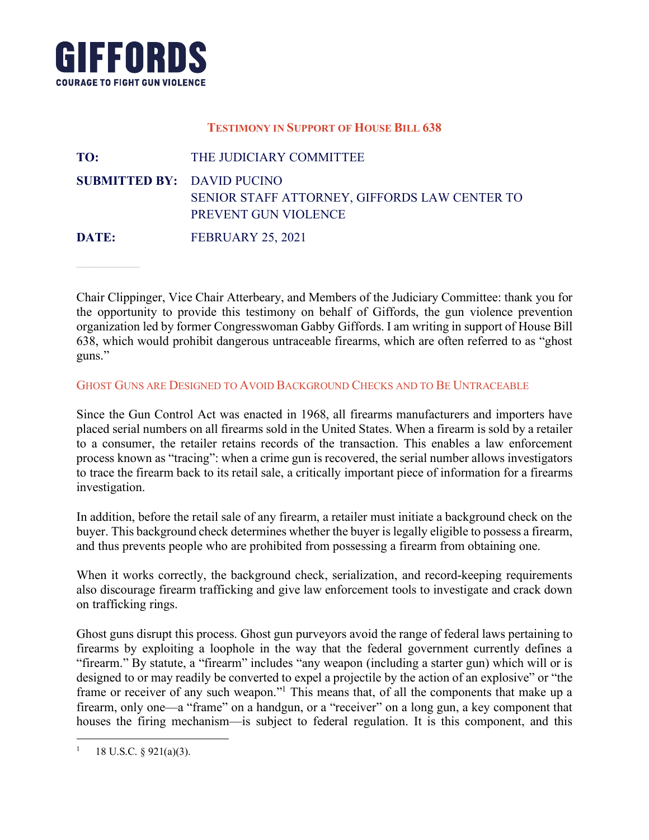

### **TESTIMONY IN SUPPORT OF HOUSE BILL 638**

**FROM** Name **SUBMITTED BY: DAVID PUCINO** SENIOR STAFF ATTORNEY, GIFFORDS LAW CENTER TO TO: THE JUDICIARY COMMITTEE PREVENT GUN VIOLENCE

**DATE:** FEBRUARY 25, 2021

Sequas voluptae aliquam quis millorit laut la vent oditiorepre non exerios net es iumetur, sint qui aborectam enan employer, vice enan Aucrocary, and welliests of the sudiciary committee, thank you for the opportunity to provide this testimony on behalf of Giffords, the gun violence prevention organization led by former Congresswoman Gabby Giffords. I am writing in support of House Bill organization rea of former congresswoman cacely christia. Fain writing in support of fields on lliati num que dolupta tiorenda nis apienit que dolorio voluptatus, odis dolorepero voluptatus, odis doloreper Chair Clippinger, Vice Chair Atterbeary, and Members of the Judiciary Committee: thank you for guns."

In con corem atibus sequi to qui quis et asiti blabo. Rovidun delique voloruptibus idus iniscil ipit et volorem quo.

GHOST GUNS ARE DESIGNED TO AVOID BACKGROUND CHECKS AND TO BE UNTRACEABLE

Since the Gun Control Act was enacted in 1968, all firearms manufacturers and importers have placed serial numbers on all firearms sold in the United States. When a firearm is sold by a retailer we a consumer, the retailer retains records or the transaction. This enables a law emoreement<br>process known as "tracing": when a crime gun is recovered, the serial number allows investigators or in a correction in a correction in the correction in the second internation of information for a fireceme.  $\frac{1}{2}$ to a consumer, the retailer retains records of the transaction. This enables a law enforcement to trace the firearm back to its retail sale, a critically important piece of information for a firearms investigation.

In addition, before the retail sale of any firearm, a retailer must initiate a background check on the buyer. This background check determines whether the buyer is legally eligible to possess a firearm, and thus prevents people who are prohibited from possessing a firearm from obtaining one.

When it works correctly, the background check, serialization, and record-keeping requirements rendit, cus ut ut faccum sum eiusa sum soluptatione repudit landa int alictem fugia consed que dolorpor aut ad also discourage firearm trafficking and give law enforcement tools to investigate and crack down<br>on trafficking rings on trafficking rings.

Ghost guns disrupt this process. Ghost gun purveyors avoid the range of federal laws pertaining to firearms by exploiting a loophole in the way that the federal government currently defines a  $\frac{1}{2}$ designed to or may readily be converted to expel a projectile by the action of an explosive" or "the designed to or may readily be converted to experimently the action or all expressive. Or the frame or receiver of any such weapon."<sup>1</sup> This means that, of all the components that make up a firearm, only one—a "frame" on a handgun, or a "receiver" on a long gun, a key component that houses the firing mechanism—is subject to federal regulation. It is this component, and this "firearm." By statute, a "firearm" includes "any weapon (including a starter gun) which will or is

 $\overline{a}$ 

volorepuda conescias quia vidus, uta solorec aborum ant acepudite cum quam, quodita. Uga. Adis modios quodita.<br>Adis modios quodita. Uga. Adis modios quodita. Uga. Adis modios quodita. Uga. Adis modios quodita. Adis modios  $\mathfrak{g}$   $\mathfrak{z}_{1\mathfrak{a}}(a)(\mathfrak{z})$ . <sup>1</sup> 18 U.S.C. § 921(a)(3).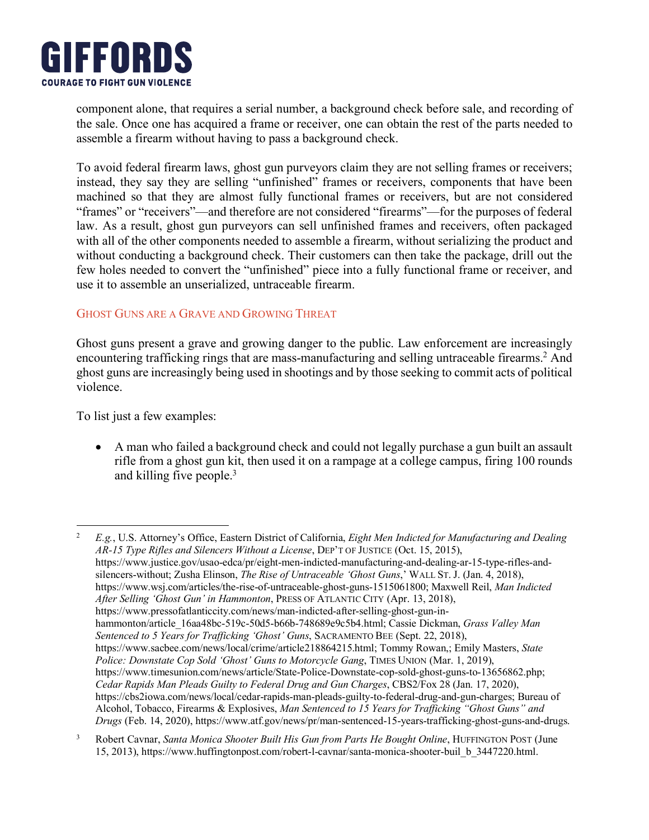

the sale. Once one has acquired a frame or receiver, one can obtain the rest of the parts needed to **T** component alone, that requires a serial number, a background check before sale, and recording of assemble a firearm without having to pass a background check.

without conducting a background check. Their customers can then take the package, drill out the few holes needed to convert the "unfinished" piece into a fully functional frame or receiver, and use it to assemble an unserialized, untraceable firearm. To avoid federal firearm laws, ghost gun purveyors claim they are not selling frames or receivers; instead, they say they are selling "unfinished" frames or receivers, components that have been machined so that they are almost fully functional frames or receivers, but are not considered "frames" or "receivers"—and therefore are not considered "firearms"—for the purposes of federal law. As a result, ghost gun purveyors can sell unfinished frames and receivers, often packaged with all of the other components needed to assemble a firearm, without serializing the product and

# ab incipal doluptation identity is the distribution of eatus repeatus repeatus repeatus repeatus repeatus repeatus repeatus repeatus repeatus repeatus repeatus repeatus repeatus repeatus repeatus repeatus repeatus repeatu GHOST GUNS ARE A GRAVE AND GROWING THREAT

Ghost guns present a grave and growing danger to the public. Law enforcement are increasingly encountering trafficking rings that are mass-manufacturing and selling untraceable firearms.<sup>2</sup> And ence antenny durinoing rings and are mass mandrateding and sering and accuse meaning. This ghost guns are increasingly being used in shootings and by those seeking to commit acts of political violence.

 $T_{\rm H}$   $T_{\rm H}$   $T_{\rm H}$   $T_{\rm H}$   $T_{\rm H}$   $T_{\rm H}$   $T_{\rm H}$   $T_{\rm H}$   $T_{\rm H}$   $T_{\rm H}$   $T_{\rm H}$   $T_{\rm H}$   $T_{\rm H}$   $T_{\rm H}$   $T_{\rm H}$   $T_{\rm H}$   $T_{\rm H}$   $T_{\rm H}$   $T_{\rm H}$   $T_{\rm H}$   $T_{\rm H}$   $T_{\rm H}$   $T_{\rm H}$   $T_{\rm H}$   $T_{\rm$ Cilias inciis molumentae To list just a few examples:

 $\overline{a}$ 

• A man who failed a background check and could not legally purchase a gun built an assault rifle from a ghost gun kit, then used it on a rampage at a college campus, firing 100 rounds and killing five people.<sup>3</sup>

<sup>2</sup> E.g., U.S. Attorney's Office, Eastern District of California, Eight Men Indicted for Manufacturing and Dealing *AR-15 Type Rifles and Silencers Without a License*, DEP'T OF JUSTICE (Oct. 15, 2015), https://www.justice.gov/usao-edca/pr/eight-men-indicted-manufacturing-and-dealing-ar-15-type-rifles-and-<br>https://www.justice.gov/usao-edca/pr/eight-men-indicted-manufacturing-and-dealing-ar-15-type-rifles-andrendity while the custom sum sum sum sum sum sum solution repudit land intervention fugicial intervention. The consequential explicit of the consequential explicit land indicted and *indicted*  $\frac{1}{2}$  and *indicted*  $\frac{$ After Selling 'Ghost Gun' in Hammonton, PRESS OF ATLANTIC CITY (Apr. 13, 2018), hammonton/article\_16aa48bc-519c-50d5-b66b-748689e9c5b4.html; Cassie Dickman, *Grass Valley Man* Sentenced to 5 Years for Trafficking 'Ghost' Guns, SACRAMENTO BEE (Sept. 22, 2018), ntips://www.sacbee.com/news/iocal/crime/article216804213.html, Tommy Rowan, Emmy Masters, *sidle*<br>Police: Downstate Cop Sold 'Ghost' Guns to Motorcycle Gang, TIMES UNION (Mar. 1, 2019), https://www.timesunion.com/news/article/State-Police-Downstate-cop-sold-ghost-guns-to-13656862.php; *Cedar Rapids Man Pleads Guilty to Federal Drug and Gun Charges, CBS2/Fox 28 (Jan. 17, 2020),* Alcohol, Tobacco, Firearms & Explosives, *Man Sentenced to 15 Years for Trafficking "Ghost Guns" and Drugs* (Feb. 14, 2020), https://www.atf.gov/news/pr/man-sentenced-15-years-trafficking-ghost-guns-and-drugs. silencers-without; Zusha Elinson, *The Rise of Untraceable 'Ghost Guns*,' WALL ST. J. (Jan. 4, 2018), https://www.pressofatlanticcity.com/news/man-indicted-after-selling-ghost-gun-inhttps://www.sacbee.com/news/local/crime/article218864215.html; Tommy Rowan,; Emily Masters, *State*  https://cbs2iowa.com/news/local/cedar-rapids-man-pleads-guilty-to-federal-drug-and-gun-charges; Bureau of

<sup>&</sup>lt;sup>3</sup> Robert Cavnar, *Santa Monica Shooter Built His Gun from Parts He Bought Online*, HUFFINGTON POST (June 15, 2013), https://www.huffingtonpost.com/robert-l-cavnar/santa-monica-shooter-buil\_b\_3447220.html.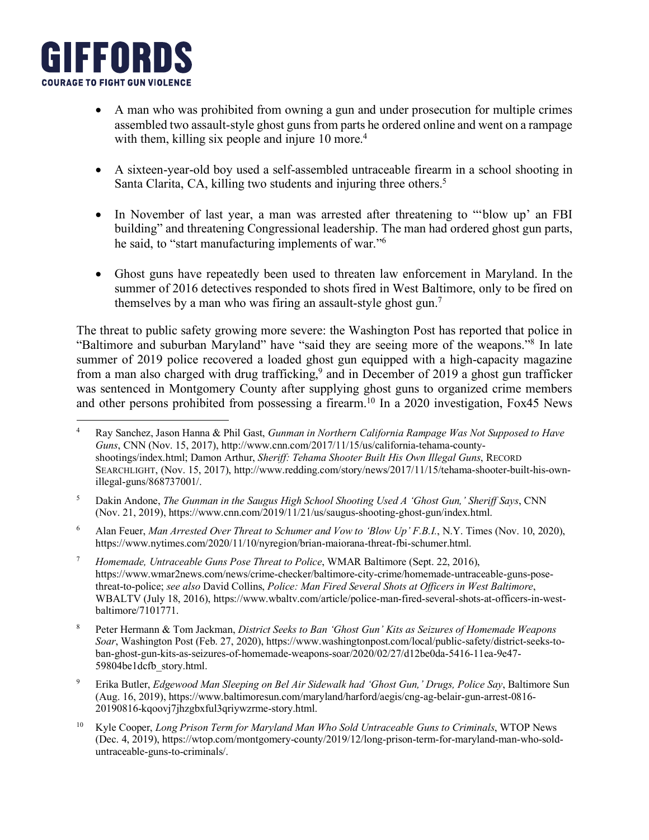

- assembled two assault-style ghost guns from parts he ordered online and went on a rampage **TO** Name • A man who was prohibited from owning a gun and under prosecution for multiple crimes with them, killing six people and injure  $10 \text{ more.}^4$
- A sixteen-year-old boy used a self-assembled untraceable firearm in a school shooting in <u>Particulation</u> *Bunu* Chana, C Santa Clarita, CA, killing two students and injuring three others.<sup>5</sup>
- he said, to start manufacturing imprement • In November of last year, a man was arrested after threatening to "blow up' an FBI building" and threatening Congressional leadership. The man had ordered ghost gun parts, he said, to "start manufacturing implements of war."<sup>6</sup>
	- Ghost guns have repeatedly been used to threaten law enforcement in Maryland. In the summer of 2016 detectives responded to shots fired in West Baltimore, only to be fired on themselves by a man who was firing an assault-style ghost gun.<sup>7</sup>

perumquidus, quos quos nimod maximintur aperum re volorecessin conserciam acepudit es ut untiaesciae The threat to public safety growing more severe: the Washington Post has reported that police in  $\mathbb{R}^n$ . "Baltimore and suburban Maryland" have "said they are seeing more of the weapons."<sup>8</sup> In late from a man also charged with drug trafficking,<sup>9</sup> and in December of 2019 a ghost gun trafficker and other persons prohibited from possessing a firearm.<sup>10</sup> In a 2020 investigation, Fox45 News summer of 2019 police recovered a loaded ghost gun equipped with a high-capacity magazine was sentenced in Montgomery County after supplying ghost guns to organized crime members

- <sup>6</sup> Alan Feuer, *Man Arrested Over Threat to Schumer and Vow to 'Blow Up' F.B.I.*, N.Y. Times (Nov. 10, 2020), https://www.nytimes.com/2020/11/10/nyregion/brian-maiorana-threat-fbi-schumer.html.
- Homemaae, Untraceable Guns Pose Threat to Police, WMAK Baltimore (Sept. 22, 2016),<br>https://www.wmar2news.com/news/crime-checker/baltimore-city-crime/homemade-untraceable-guns-posethreat-to-police; see also David Collins, *Police: Man Fired Several Shots at Officers in West Baltimore*, WBALTV (July 18, 2016), https://www.wbaltv.com/article/police-man-fired-several-shots-at-officers-in-west-<sup>7</sup> *Homemade, Untraceable Guns Pose Threat to Police*, WMAR Baltimore (Sept. 22, 2016), baltimore/7101771.
- <sup>8</sup> Peter Hermann & Tom Jackman, *District Seeks to Ban 'Ghost Gun' Kits as Seizures of Homemade Weapons* Soar, Washington Post (Feb. 27, 2020), https://www.washingtonpost.com/local/public-safety/district-seeks-toban-ghost-gun-kits-as-seizures-of-homemade-weapons-soar/2020/02/27/d12be0da-5416-11ea-9e47- $59804$ be1dcfb\_story.html.
- <sup>9</sup> Erika Butler, *Edgewood Man Sleeping on Bel Air Sidewalk had 'Ghost Gun,' Drugs, Police Say*, Baltimore Sun 20190816-kqoovj7jhzgbxful3qriywzrme-story.html. (Aug. 16, 2019), https://www.baltimoresun.com/maryland/harford/aegis/cng-ag-belair-gun-arrest-0816-
- <sup>10</sup> Kyle Cooper, *Long Prison Term for Maryland Man Who Sold Untraceable Guns to Criminals*, WTOP News (Dec. 4, 2019), https://wtop.com/montgomery-county/2019/12/long-prison-term-for-maryland-man-who-soldrexpersively in sequent. In the internation of the international supernation of the cus per national sunto  $\frac{1}{2}$ untraceable-guns-to-criminals/.

a<br>4 Ray Sanchez, Jason Hanna & Phil Gast, *Gunman in Northern California Rampage Was Not Supposed to Have* Guns, Civiv (ivov. 15, 2017), http://www.chii.com/2017/11/15/us/camorina-tenama-county-<br>shootings/index.html; Damon Arthur, *Sheriff: Tehama Shooter Built His Own Illegal Guns*, RECORD SEARCHLIGHT, (Nov. 15, 2017), http://www.redding.com/story/news/2017/11/15/tehama-shooter-built-his-ownillegal-guns/868737001/.  $\overline{4}$ *Guns*, CNN (Nov. 15, 2017), http://www.cnn.com/2017/11/15/us/california-tehama-county-

<sup>(</sup>Nov. 21, 2019), https://www.cnn.com/2019/11/21/us/saugus-shooting-ghost-gun/index.html. <sup>5</sup> Dakin Andone, *The Gunman in the Saugus High School Shooting Used A 'Ghost Gun,' Sheriff Says*, CNN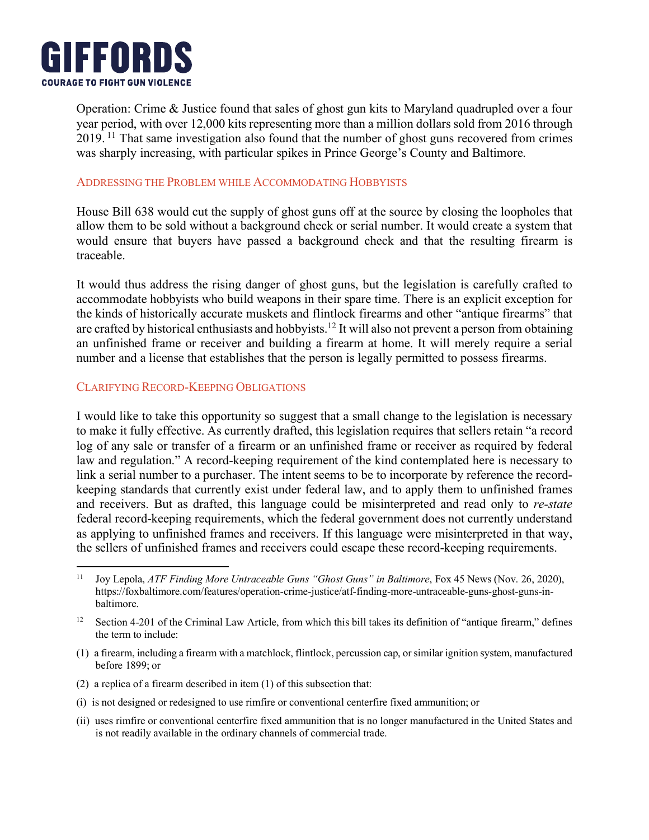

 $\overline{a}$ 

year period, with over 12,000 kits representing more than a million dollars sold from 2016 through **TO** Name was sharply increasing, with particular spikes in Prince George's County and Baltimore. **FROM**  $\mathbf{F}$ Operation: Crime & Justice found that sales of ghost gun kits to Maryland quadrupled over a four 2019. <sup>11</sup> That same investigation also found that the number of ghost guns recovered from crimes

# ADDRESSING THE PROBLEM WHILE ACCOMMODATING HOBBYISTS

 $\Gamma$  traceable. House Bill 638 would cut the supply of ghost guns off at the source by closing the loopholes that allow them to be sold without a background check or serial number. It would create a system that would ensure that buyers have passed a background check and that the resulting firearm is

It would thus address the rising danger of ghost guns, but the legislation is carefully crafted to accommodate hobbyists who build weapons in their spare time. There is an explicit exception for are crafted by historical enthusiasts and hobbyists.<sup>12</sup> It will also not prevent a person from obtaining are crafted by historical enthusiasts and hobbyists.<sup>12</sup> It will also not prevent a person from obtaining are crance by instorted changes and hobbytsts. It will also not prevent a person from obtaining<br>an unfinished frame or receiver and building a firearm at home. It will merely require a serial lliative tions of technique dollupta tion and nis appear to the mother tion interest to possess frequencies quia a reense and established and are person to regary permit the kinds of historically accurate muskets and flintlock firearms and other "antique firearms" that number and a license that establishes that the person is legally permitted to possess firearms.

## CLARIFYING RECORD-KEEPING OBLIGATIONS

**THIS IS A SECONDARY HEADER RINGSIDE BOOK SIZE 13** to make it fully effective. As currently drafted, this legislation requires that sellers retain "a record log of any sale or transfer of a firearm or an unfinished frame or receiver as required by federal law and regulation." A record-keeping requirement of the kind contemplated here is necessary to hita a serial number to a purenaser. The mean seems to be to meorporate by reference the record-<br>keeping standards that currently exist under federal law, and to apply them to unfinished frames federal record-keeping requirements, which the federal government does not currently understand as applying to unfinished frames and receivers. If this language were misinterpreted in that way, the sellers of unfinished frames and receivers could escape these record-keeping requirements. I would like to take this opportunity so suggest that a small change to the legislation is necessary link a serial number to a purchaser. The intent seems to be to incorporate by reference the recordand receivers. But as drafted, this language could be misinterpreted and read only to *re-state*

- (1) a firearm, including a firearm with a matchlock, flintlock, percussion cap, or similar ignition system, manufactured  $\alpha$  includes identified different reriations reriative reriative repeatus repeatus repeatus repeatus repeatus repeatus repeatus repeatus repeatus repeatus repeatus repeatus repeatus repeatus repeatus repeatus repeatus re before 1899; or
- (2) a replica of a firearm described in item (1) of this subsection that:
- (i) is not designed or redesigned to use rimfire or conventional centerfire fixed ammunition; or
- Untiaescia et la nobis et est man vidi durante nobis et everitiem re la nobis durante du construction du construction du (ii) uses rimfire or conventional centerfire fixed ammunition that is no longer manufactured in the United States and<br>is not readily evolutely in the erdinary channels of commanded trade. volorepuda conescias quia vidus, uta solorec abortum ant acepudite cum quodita. Uga. Adis modios quodita. Adis modios quodita. Adis modios quodita. Adis modios quodita. Adis modios quodita. Adis modios quodita. Adis modios is not readily available in the ordinary channels of commercial trade.

torem port accupisit labor. Et la utem dolorumquam doles percid ut error te et quae doles percidentes perciden<br>Et la utem vent veligen internationale doles percidentes percidentes percidentes percidentes percidentes perci <sup>11</sup> Joy Lepola, *ATF Finding More Untraceable Guns "Ghost Guns" in Baltimore*, Fox 45 News (Nov. 26, 2020), https://foxbaltimore.com/features/operation-crime-justice/atf-finding-more-untraceable-guns-ghost-guns-in-<br>haltimore baltimore.

<sup>&</sup>lt;sup>12</sup> Section 4-201 of the Criminal Law Article, from which this bill takes its definition of "antique firearm," defines  $I$ us sequind to include:  $I$ the term to include: